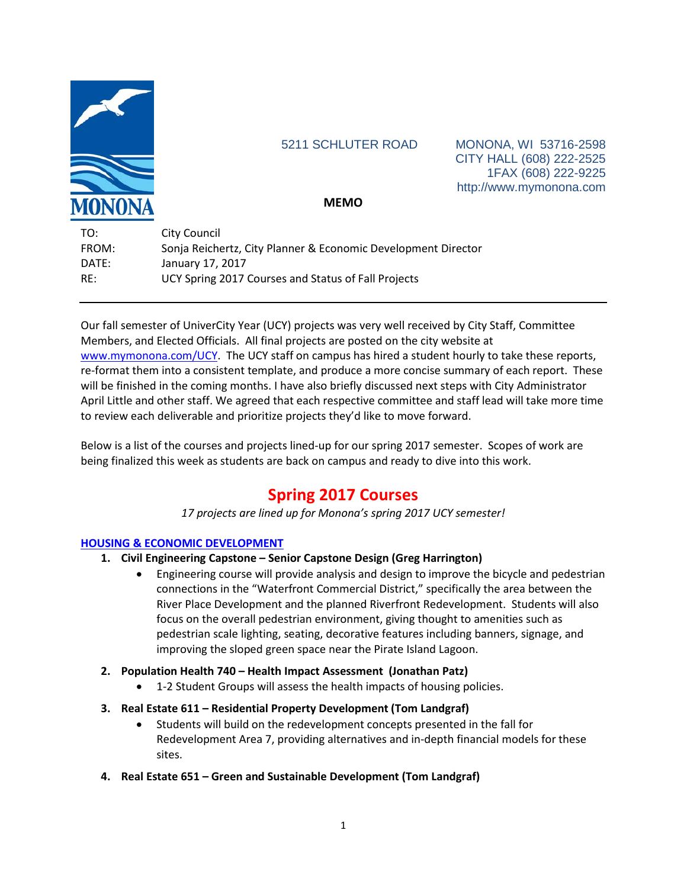

5211 SCHLUTER ROAD MONONA, WI 53716-2598 CITY HALL (608) 222-2525 1FAX (608) 222-9225 http://www.mymonona.com

# **MEMO**

| TO:   | <b>City Council</b>                                           |
|-------|---------------------------------------------------------------|
| FROM: | Sonja Reichertz, City Planner & Economic Development Director |
| DATE: | January 17, 2017                                              |
| RF:   | UCY Spring 2017 Courses and Status of Fall Projects           |

Our fall semester of UniverCity Year (UCY) projects was very well received by City Staff, Committee Members, and Elected Officials. All final projects are posted on the city website at [www.mymonona.com/UCY.](http://www.mymonona.com/UCY) The UCY staff on campus has hired a student hourly to take these reports, re-format them into a consistent template, and produce a more concise summary of each report. These will be finished in the coming months. I have also briefly discussed next steps with City Administrator April Little and other staff. We agreed that each respective committee and staff lead will take more time to review each deliverable and prioritize projects they'd like to move forward.

Below is a list of the courses and projects lined-up for our spring 2017 semester. Scopes of work are being finalized this week as students are back on campus and ready to dive into this work.

# **Spring 2017 Courses**

*17 projects are lined up for Monona's spring 2017 UCY semester!*

#### **HOUSING & ECONOMIC DEVELOPMENT**

- **1. Civil Engineering Capstone – Senior Capstone Design (Greg Harrington)**
	- Engineering course will provide analysis and design to improve the bicycle and pedestrian connections in the "Waterfront Commercial District," specifically the area between the River Place Development and the planned Riverfront Redevelopment. Students will also focus on the overall pedestrian environment, giving thought to amenities such as pedestrian scale lighting, seating, decorative features including banners, signage, and improving the sloped green space near the Pirate Island Lagoon.
- **2. Population Health 740 – Health Impact Assessment (Jonathan Patz)**
	- 1-2 Student Groups will assess the health impacts of housing policies.
- **3. Real Estate 611 – Residential Property Development (Tom Landgraf)**
	- Students will build on the redevelopment concepts presented in the fall for Redevelopment Area 7, providing alternatives and in-depth financial models for these sites.
- **4. Real Estate 651 – Green and Sustainable Development (Tom Landgraf)**